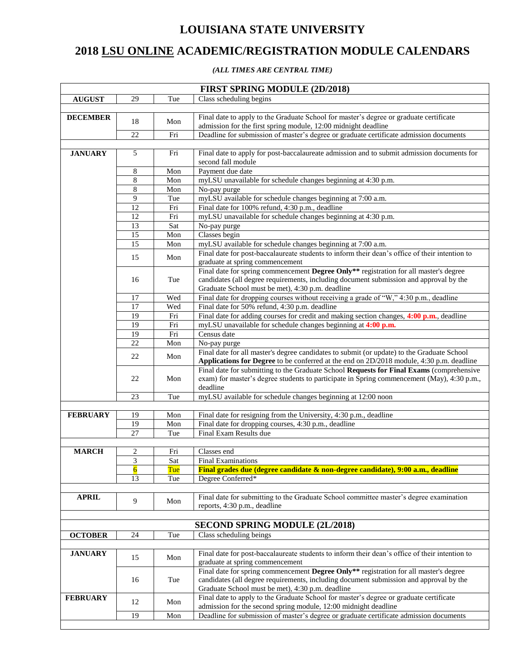## **LOUISIANA STATE UNIVERSITY**

## **2018 LSU ONLINE ACADEMIC/REGISTRATION MODULE CALENDARS**

## *(ALL TIMES ARE CENTRAL TIME)*

| <b>FIRST SPRING MODULE (2D/2018)</b> |                         |                      |                                                                                                                                                                                      |
|--------------------------------------|-------------------------|----------------------|--------------------------------------------------------------------------------------------------------------------------------------------------------------------------------------|
| <b>AUGUST</b>                        | 29                      | Tue                  | Class scheduling begins                                                                                                                                                              |
|                                      |                         |                      |                                                                                                                                                                                      |
| <b>DECEMBER</b>                      | 18                      |                      | Final date to apply to the Graduate School for master's degree or graduate certificate                                                                                               |
|                                      |                         | Mon                  | admission for the first spring module, 12:00 midnight deadline                                                                                                                       |
|                                      | 22                      | Fri                  | Deadline for submission of master's degree or graduate certificate admission documents                                                                                               |
|                                      |                         |                      |                                                                                                                                                                                      |
| <b>JANUARY</b>                       | 5                       | Fri                  | Final date to apply for post-baccalaureate admission and to submit admission documents for                                                                                           |
|                                      |                         |                      | second fall module                                                                                                                                                                   |
|                                      | 8                       | Mon                  | Payment due date                                                                                                                                                                     |
|                                      | 8                       | Mon                  | myLSU unavailable for schedule changes beginning at 4:30 p.m.                                                                                                                        |
|                                      | $\sqrt{8}$              | Mon                  | No-pay purge                                                                                                                                                                         |
|                                      | 9                       | Tue                  | myLSU available for schedule changes beginning at 7:00 a.m.                                                                                                                          |
|                                      | 12                      | Fri                  | Final date for 100% refund, 4:30 p.m., deadline                                                                                                                                      |
|                                      | 12                      | Fri                  | myLSU unavailable for schedule changes beginning at 4:30 p.m.                                                                                                                        |
|                                      | 13                      | Sat                  | No-pay purge                                                                                                                                                                         |
|                                      | 15                      | Mon                  | Classes begin                                                                                                                                                                        |
|                                      | 15                      | Mon                  | myLSU available for schedule changes beginning at 7:00 a.m.                                                                                                                          |
|                                      | 15                      | Mon                  | Final date for post-baccalaureate students to inform their dean's office of their intention to                                                                                       |
|                                      |                         |                      | graduate at spring commencement                                                                                                                                                      |
|                                      |                         |                      | Final date for spring commencement Degree Only** registration for all master's degree                                                                                                |
|                                      | 16                      | Tue                  | candidates (all degree requirements, including document submission and approval by the                                                                                               |
|                                      |                         |                      | Graduate School must be met), 4:30 p.m. deadline                                                                                                                                     |
|                                      | 17                      | Wed                  | Final date for dropping courses without receiving a grade of "W," 4:30 p.m., deadline                                                                                                |
|                                      | 17                      | Wed                  | Final date for 50% refund, 4:30 p.m. deadline                                                                                                                                        |
|                                      | 19                      | Fri                  | Final date for adding courses for credit and making section changes, 4:00 p.m., deadline                                                                                             |
|                                      | 19                      | Fri                  | myLSU unavailable for schedule changes beginning at 4:00 p.m.                                                                                                                        |
|                                      | 19<br>22                | Fri                  | Census date                                                                                                                                                                          |
|                                      |                         | Mon                  | No-pay purge                                                                                                                                                                         |
|                                      | 22                      | Mon                  | Final date for all master's degree candidates to submit (or update) to the Graduate School                                                                                           |
|                                      |                         |                      | Applications for Degree to be conferred at the end on 2D/2018 module, 4:30 p.m. deadline<br>Final date for submitting to the Graduate School Requests for Final Exams (comprehensive |
|                                      | 22                      | Mon                  | exam) for master's degree students to participate in Spring commencement (May), 4:30 p.m.,                                                                                           |
|                                      |                         |                      | deadline                                                                                                                                                                             |
|                                      | 23                      | Tue                  | myLSU available for schedule changes beginning at 12:00 noon                                                                                                                         |
|                                      |                         |                      |                                                                                                                                                                                      |
| <b>FEBRUARY</b>                      | 19                      | Mon                  | Final date for resigning from the University, 4:30 p.m., deadline                                                                                                                    |
|                                      | 19                      | $\operatorname{Mon}$ | Final date for dropping courses, 4:30 p.m., deadline                                                                                                                                 |
|                                      | 27                      | Tue                  | Final Exam Results due                                                                                                                                                               |
|                                      |                         |                      |                                                                                                                                                                                      |
| <b>MARCH</b>                         | 2                       | Fri                  | Classes end                                                                                                                                                                          |
|                                      | $\overline{\mathbf{3}}$ | Sat                  | <b>Final Examinations</b>                                                                                                                                                            |
|                                      | $\overline{6}$          | Tue                  | Final grades due (degree candidate & non-degree candidate), 9:00 a.m., deadline                                                                                                      |
|                                      | 13                      | Tue                  | Degree Conferred*                                                                                                                                                                    |
|                                      |                         |                      |                                                                                                                                                                                      |
| <b>APRIL</b>                         |                         |                      | Final date for submitting to the Graduate School committee master's degree examination                                                                                               |
|                                      | 9                       | Mon                  | reports, 4:30 p.m., deadline                                                                                                                                                         |
|                                      |                         |                      |                                                                                                                                                                                      |
|                                      |                         |                      | SECOND SPRING MODULE (2L/2018)                                                                                                                                                       |
| <b>OCTOBER</b>                       | 24                      | Tue                  | Class scheduling beings                                                                                                                                                              |
|                                      |                         |                      |                                                                                                                                                                                      |
| <b>JANUARY</b>                       |                         |                      | Final date for post-baccalaureate students to inform their dean's office of their intention to                                                                                       |
|                                      | 15                      | Mon                  | graduate at spring commencement                                                                                                                                                      |
|                                      |                         |                      | Final date for spring commencement Degree Only** registration for all master's degree                                                                                                |
|                                      | 16                      | Tue                  | candidates (all degree requirements, including document submission and approval by the                                                                                               |
|                                      |                         |                      | Graduate School must be met), 4:30 p.m. deadline                                                                                                                                     |
| <b>FEBRUARY</b>                      |                         |                      | Final date to apply to the Graduate School for master's degree or graduate certificate                                                                                               |
|                                      | 12                      | Mon                  | admission for the second spring module, 12:00 midnight deadline                                                                                                                      |
|                                      | 19                      | Mon                  | Deadline for submission of master's degree or graduate certificate admission documents                                                                                               |
|                                      |                         |                      |                                                                                                                                                                                      |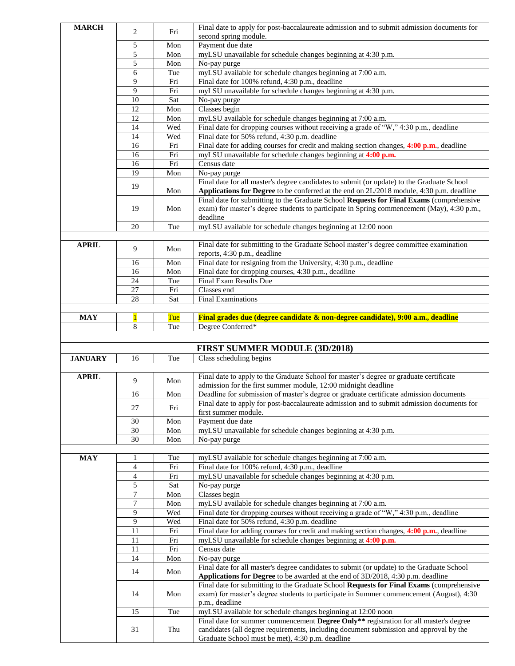| <b>MARCH</b>   |              |     | Final date to apply for post-baccalaureate admission and to submit admission documents for                                                 |
|----------------|--------------|-----|--------------------------------------------------------------------------------------------------------------------------------------------|
|                | 2            | Fri | second spring module.                                                                                                                      |
|                | 5            | Mon | Payment due date                                                                                                                           |
|                | 5            | Mon | myLSU unavailable for schedule changes beginning at 4:30 p.m.                                                                              |
|                | 5            | Mon | No-pay purge                                                                                                                               |
|                | 6            | Tue | myLSU available for schedule changes beginning at 7:00 a.m.                                                                                |
|                | 9            | Fri | Final date for 100% refund, 4:30 p.m., deadline                                                                                            |
|                | 9            | Fri | myLSU unavailable for schedule changes beginning at 4:30 p.m.                                                                              |
|                | 10           | Sat | No-pay purge                                                                                                                               |
|                | 12           | Mon | Classes begin                                                                                                                              |
|                | 12           | Mon | myLSU available for schedule changes beginning at 7:00 a.m.                                                                                |
|                | 14           | Wed | Final date for dropping courses without receiving a grade of "W," 4:30 p.m., deadline                                                      |
|                | 14           | Wed | Final date for 50% refund, 4:30 p.m. deadline                                                                                              |
|                | 16           | Fri | Final date for adding courses for credit and making section changes, 4:00 p.m., deadline                                                   |
|                | 16           | Fri | myLSU unavailable for schedule changes beginning at 4:00 p.m.                                                                              |
|                | 16           | Fri | Census date                                                                                                                                |
|                | 19           | Mon | No-pay purge                                                                                                                               |
|                | 19           |     | Final date for all master's degree candidates to submit (or update) to the Graduate School                                                 |
|                |              | Mon | Applications for Degree to be conferred at the end on 2L/2018 module, 4:30 p.m. deadline                                                   |
|                |              |     | Final date for submitting to the Graduate School Requests for Final Exams (comprehensive                                                   |
|                | 19           | Mon | exam) for master's degree students to participate in Spring commencement (May), 4:30 p.m.,                                                 |
|                |              |     | deadline                                                                                                                                   |
|                | 20           | Tue | myLSU available for schedule changes beginning at 12:00 noon                                                                               |
|                |              |     |                                                                                                                                            |
| <b>APRIL</b>   | 9            | Mon | Final date for submitting to the Graduate School master's degree committee examination                                                     |
|                |              |     | reports, 4:30 p.m., deadline                                                                                                               |
|                | 16           | Mon | Final date for resigning from the University, 4:30 p.m., deadline                                                                          |
|                | 16           | Mon | Final date for dropping courses, 4:30 p.m., deadline                                                                                       |
|                | 24           | Tue | Final Exam Results Due                                                                                                                     |
|                | 27           | Fri | Classes end                                                                                                                                |
|                | 28           | Sat | <b>Final Examinations</b>                                                                                                                  |
|                |              |     |                                                                                                                                            |
| <b>MAY</b>     | $\mathbf{1}$ | Tue | Final grades due (degree candidate & non-degree candidate), 9:00 a.m., deadline                                                            |
|                | 8            | Tue | Degree Conferred*                                                                                                                          |
|                |              |     |                                                                                                                                            |
|                |              |     |                                                                                                                                            |
|                |              |     | <b>FIRST SUMMER MODULE (3D/2018)</b>                                                                                                       |
| <b>JANUARY</b> | 16           | Tue | Class scheduling begins                                                                                                                    |
|                |              |     |                                                                                                                                            |
| <b>APRIL</b>   |              |     | Final date to apply to the Graduate School for master's degree or graduate certificate                                                     |
|                | 9            | Mon | admission for the first summer module, 12:00 midnight deadline                                                                             |
|                | 16           | Mon | Deadline for submission of master's degree or graduate certificate admission documents                                                     |
|                |              |     | Final date to apply for post-baccalaureate admission and to submit admission documents for                                                 |
|                | 27           | Fri | first summer module.                                                                                                                       |
|                | 30           | Mon | Payment due date                                                                                                                           |
|                | 30           | Mon | myLSU unavailable for schedule changes beginning at 4:30 p.m.                                                                              |
|                | 30           | Mon | No-pay purge                                                                                                                               |
|                |              |     |                                                                                                                                            |
| <b>MAY</b>     | 1            | Tue | myLSU available for schedule changes beginning at 7:00 a.m.                                                                                |
|                | 4            | Fri | Final date for 100% refund, 4:30 p.m., deadline                                                                                            |
|                | 4            | Fri | myLSU unavailable for schedule changes beginning at 4:30 p.m.                                                                              |
|                | 5            | Sat | No-pay purge                                                                                                                               |
|                | $\tau$       | Mon | Classes begin                                                                                                                              |
|                | 7            | Mon | myLSU available for schedule changes beginning at 7:00 a.m.                                                                                |
|                | 9            | Wed | Final date for dropping courses without receiving a grade of "W," 4:30 p.m., deadline                                                      |
|                | 9            | Wed | Final date for 50% refund, 4:30 p.m. deadline                                                                                              |
|                | 11           | Fri | Final date for adding courses for credit and making section changes, 4:00 p.m., deadline                                                   |
|                | 11           | Fri | myLSU unavailable for schedule changes beginning at 4:00 p.m.                                                                              |
|                | 11           | Fri | Census date                                                                                                                                |
|                | 14           | Mon | No-pay purge                                                                                                                               |
|                |              |     | Final date for all master's degree candidates to submit (or update) to the Graduate School                                                 |
|                | 14           | Mon | Applications for Degree to be awarded at the end of 3D/2018, 4:30 p.m. deadline                                                            |
|                |              |     | Final date for submitting to the Graduate School Requests for Final Exams (comprehensive                                                   |
|                | 14           | Mon | exam) for master's degree students to participate in Summer commencement (August), 4:30                                                    |
|                |              |     | p.m., deadline                                                                                                                             |
|                | 15           | Tue | myLSU available for schedule changes beginning at 12:00 noon                                                                               |
|                |              |     | Final date for summer commencement Degree Only** registration for all master's degree                                                      |
|                | 31           | Thu | candidates (all degree requirements, including document submission and approval by the<br>Graduate School must be met), 4:30 p.m. deadline |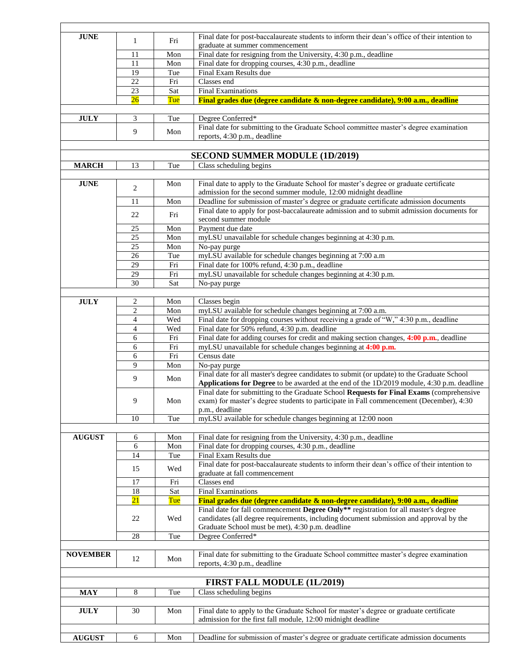| <b>JUNE</b>                                | $\mathbf{1}$             | Fri        | Final date for post-baccalaureate students to inform their dean's office of their intention to                                                                                         |
|--------------------------------------------|--------------------------|------------|----------------------------------------------------------------------------------------------------------------------------------------------------------------------------------------|
|                                            | 11                       | Mon        | graduate at summer commencement                                                                                                                                                        |
|                                            | 11                       | Mon        | Final date for resigning from the University, $4:30$ p.m., deadline                                                                                                                    |
|                                            | 19                       | Tue        | Final date for dropping courses, 4:30 p.m., deadline<br>Final Exam Results due                                                                                                         |
|                                            | 22                       | Fri        | Classes end                                                                                                                                                                            |
|                                            | 23                       | Sat        | <b>Final Examinations</b>                                                                                                                                                              |
|                                            | 26                       | Tue        | Final grades due (degree candidate & non-degree candidate), 9:00 a.m., deadline                                                                                                        |
|                                            |                          |            |                                                                                                                                                                                        |
| $\mathbf{J}\mathbf{U}\mathbf{L}\mathbf{Y}$ | 3                        | Tue        | Degree Conferred*                                                                                                                                                                      |
|                                            |                          |            | Final date for submitting to the Graduate School committee master's degree examination                                                                                                 |
|                                            | 9                        | Mon        | reports, 4:30 p.m., deadline                                                                                                                                                           |
|                                            |                          |            |                                                                                                                                                                                        |
|                                            |                          |            | <b>SECOND SUMMER MODULE (1D/2019)</b>                                                                                                                                                  |
| <b>MARCH</b>                               | 13                       | Tue        | Class scheduling begins                                                                                                                                                                |
|                                            |                          |            |                                                                                                                                                                                        |
| $\bold{JUNE}$                              | 2                        | Mon        | Final date to apply to the Graduate School for master's degree or graduate certificate                                                                                                 |
|                                            |                          |            | admission for the second summer module, 12:00 midnight deadline                                                                                                                        |
|                                            | 11                       | Mon        | Deadline for submission of master's degree or graduate certificate admission documents                                                                                                 |
|                                            | 22                       | Fri        | Final date to apply for post-baccalaureate admission and to submit admission documents for                                                                                             |
|                                            |                          |            | second summer module                                                                                                                                                                   |
|                                            | 25<br>25                 | Mon<br>Mon | Payment due date<br>myLSU unavailable for schedule changes beginning at 4:30 p.m.                                                                                                      |
|                                            | 25                       |            |                                                                                                                                                                                        |
|                                            | 26                       | Mon<br>Tue | No-pay purge<br>myLSU available for schedule changes beginning at 7:00 a.m                                                                                                             |
|                                            | 29                       | Fri        | Final date for 100% refund, 4:30 p.m., deadline                                                                                                                                        |
|                                            | 29                       | Fri        | myLSU unavailable for schedule changes beginning at 4:30 p.m.                                                                                                                          |
|                                            | $\overline{30}$          | Sat        | No-pay purge                                                                                                                                                                           |
|                                            |                          |            |                                                                                                                                                                                        |
| <b>JULY</b>                                | $\boldsymbol{2}$         | Mon        | Classes begin                                                                                                                                                                          |
|                                            | $\overline{c}$           | Mon        | myLSU available for schedule changes beginning at 7:00 a.m.                                                                                                                            |
|                                            | 4                        | Wed        | Final date for dropping courses without receiving a grade of "W," 4:30 p.m., deadline                                                                                                  |
|                                            | $\overline{\mathcal{L}}$ | Wed        | Final date for 50% refund, 4:30 p.m. deadline                                                                                                                                          |
|                                            | 6                        | Fri        | Final date for adding courses for credit and making section changes, 4:00 p.m., deadline                                                                                               |
|                                            | 6                        | Fri        | myLSU unavailable for schedule changes beginning at 4:00 p.m.                                                                                                                          |
|                                            | 6                        | Fri        | Census date                                                                                                                                                                            |
|                                            | 9                        | Mon        | No-pay purge                                                                                                                                                                           |
|                                            | 9                        | Mon        | Final date for all master's degree candidates to submit (or update) to the Graduate School                                                                                             |
|                                            |                          |            | Applications for Degree to be awarded at the end of the 1D/2019 module, 4:30 p.m. deadline<br>Final date for submitting to the Graduate School Requests for Final Exams (comprehensive |
|                                            | 9                        | Mon        | exam) for master's degree students to participate in Fall commencement (December), 4:30                                                                                                |
|                                            |                          |            | p.m., deadline                                                                                                                                                                         |
|                                            | 10                       | Tue        | myLSU available for schedule changes beginning at 12:00 noon                                                                                                                           |
|                                            |                          |            |                                                                                                                                                                                        |
| <b>AUGUST</b>                              | 6                        | Mon        | Final date for resigning from the University, 4:30 p.m., deadline                                                                                                                      |
|                                            | 6                        | Mon        | Final date for dropping courses, 4:30 p.m., deadline                                                                                                                                   |
|                                            | 14                       | Tue        | Final Exam Results due                                                                                                                                                                 |
|                                            | 15                       | Wed        | Final date for post-baccalaureate students to inform their dean's office of their intention to                                                                                         |
|                                            |                          |            | graduate at fall commencement                                                                                                                                                          |
|                                            | 17                       | Fri        | Classes end                                                                                                                                                                            |
|                                            | 18                       | Sat        | <b>Final Examinations</b>                                                                                                                                                              |
|                                            | 21                       | Tue        | Final grades due (degree candidate & non-degree candidate), 9:00 a.m., deadline                                                                                                        |
|                                            | 22                       | Wed        | Final date for fall commencement Degree Only** registration for all master's degree<br>candidates (all degree requirements, including document submission and approval by the          |
|                                            |                          |            | Graduate School must be met), 4:30 p.m. deadline                                                                                                                                       |
|                                            | 28                       | Tue        | Degree Conferred*                                                                                                                                                                      |
|                                            |                          |            |                                                                                                                                                                                        |
| <b>NOVEMBER</b>                            |                          |            | Final date for submitting to the Graduate School committee master's degree examination                                                                                                 |
|                                            | 12                       | Mon        | reports, 4:30 p.m., deadline                                                                                                                                                           |
|                                            |                          |            |                                                                                                                                                                                        |
|                                            |                          |            | FIRST FALL MODULE (1L/2019)                                                                                                                                                            |
| <b>MAY</b>                                 | 8                        | Tue        | Class scheduling begins                                                                                                                                                                |
|                                            |                          |            |                                                                                                                                                                                        |
| <b>JULY</b>                                | 30                       | Mon        | Final date to apply to the Graduate School for master's degree or graduate certificate                                                                                                 |
|                                            |                          |            | admission for the first fall module, 12:00 midnight deadline                                                                                                                           |
|                                            |                          |            |                                                                                                                                                                                        |
| <b>AUGUST</b>                              | 6                        | Mon        | Deadline for submission of master's degree or graduate certificate admission documents                                                                                                 |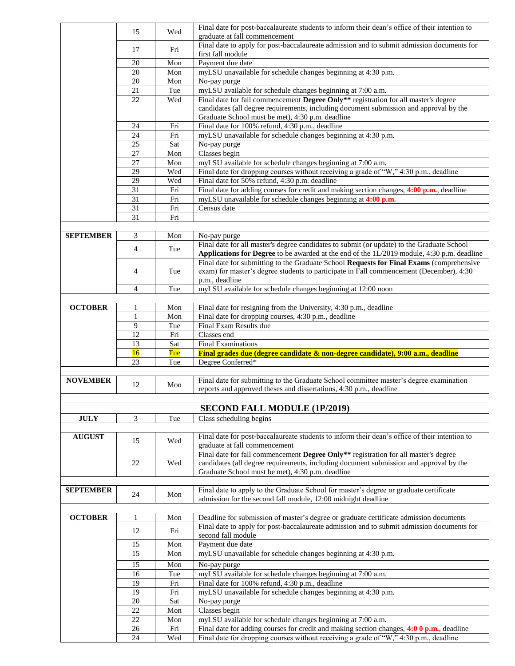|                  | 15             | Wed        | Final date for post-baccalaureate students to inform their dean's office of their intention to                                                                                      |
|------------------|----------------|------------|-------------------------------------------------------------------------------------------------------------------------------------------------------------------------------------|
|                  |                |            | graduate at fall commencement<br>Final date to apply for post-baccalaureate admission and to submit admission documents for                                                         |
|                  | 17             | Fri        | first fall module                                                                                                                                                                   |
|                  | 20             | Mon        | Payment due date                                                                                                                                                                    |
|                  | 20             | Mon        | myLSU unavailable for schedule changes beginning at 4:30 p.m.                                                                                                                       |
|                  | 20             | Mon        | No-pay purge                                                                                                                                                                        |
|                  | 21             | Tue        | myLSU available for schedule changes beginning at 7:00 a.m.                                                                                                                         |
|                  | 22             | Wed        | Final date for fall commencement Degree Only** registration for all master's degree<br>candidates (all degree requirements, including document submission and approval by the       |
|                  |                |            | Graduate School must be met), 4:30 p.m. deadline                                                                                                                                    |
|                  | 24             | Fri        | Final date for 100% refund, 4:30 p.m., deadline                                                                                                                                     |
|                  | 24             | Fri        | myLSU unavailable for schedule changes beginning at 4:30 p.m.                                                                                                                       |
|                  | 25             | Sat        | No-pay purge                                                                                                                                                                        |
|                  | 27             | Mon        | Classes begin                                                                                                                                                                       |
|                  | 27             | Mon        | myLSU available for schedule changes beginning at 7:00 a.m.                                                                                                                         |
|                  | 29             | Wed        | Final date for dropping courses without receiving a grade of "W," 4:30 p.m., deadline                                                                                               |
|                  | 29<br>31       | Wed        | Final date for 50% refund, 4:30 p.m. deadline<br>Final date for adding courses for credit and making section changes, 4:00 p.m., deadline                                           |
|                  | 31             | Fri<br>Fri | myLSU unavailable for schedule changes beginning at 4:00 p.m.                                                                                                                       |
|                  | 31             | Fri        | Census date                                                                                                                                                                         |
|                  | 31             | Fri        |                                                                                                                                                                                     |
|                  |                |            |                                                                                                                                                                                     |
| <b>SEPTEMBER</b> | 3              | Mon        | No-pay purge                                                                                                                                                                        |
|                  | $\overline{4}$ | Tue        | Final date for all master's degree candidates to submit (or update) to the Graduate School                                                                                          |
|                  |                |            | Applications for Degree to be awarded at the end of the 1L/2019 module, 4:30 p.m. deadline                                                                                          |
|                  | 4              | Tue        | Final date for submitting to the Graduate School Requests for Final Exams (comprehensive<br>exam) for master's degree students to participate in Fall commencement (December), 4:30 |
|                  |                |            | p.m., deadline                                                                                                                                                                      |
|                  | $\overline{4}$ | Tue        | myLSU available for schedule changes beginning at 12:00 noon                                                                                                                        |
|                  |                |            |                                                                                                                                                                                     |
| <b>OCTOBER</b>   | 1              | Mon        | Final date for resigning from the University, 4:30 p.m., deadline                                                                                                                   |
|                  | $\mathbf{1}$   | Mon        | Final date for dropping courses, 4:30 p.m., deadline                                                                                                                                |
|                  | 9              | Tue        | Final Exam Results due                                                                                                                                                              |
|                  | 12<br>13       | Fri        | Classes end<br><b>Final Examinations</b>                                                                                                                                            |
|                  | 16             | Sat<br>Tue | Final grades due (degree candidate & non-degree candidate), 9:00 a.m., deadline                                                                                                     |
|                  | 23             | Tue        | Degree Conferred*                                                                                                                                                                   |
|                  |                |            |                                                                                                                                                                                     |
| <b>NOVEMBER</b>  | 12             | Mon        | Final date for submitting to the Graduate School committee master's degree examination                                                                                              |
|                  |                |            | reports and approved theses and dissertations, 4:30 p.m., deadline                                                                                                                  |
|                  |                |            |                                                                                                                                                                                     |
|                  |                |            | <b>SECOND FALL MODULE (1P/2019)</b>                                                                                                                                                 |
| <b>JULY</b>      | 3              | Tue        | Class scheduling begins                                                                                                                                                             |
| <b>AUGUST</b>    |                |            | Final date for post-baccalaureate students to inform their dean's office of their intention to                                                                                      |
|                  | 15             | Wed        | graduate at fall commencement                                                                                                                                                       |
|                  |                |            | Final date for fall commencement Degree Only <sup>**</sup> registration for all master's degree                                                                                     |
|                  | 22             | Wed        | candidates (all degree requirements, including document submission and approval by the                                                                                              |
|                  |                |            | Graduate School must be met), 4:30 p.m. deadline                                                                                                                                    |
| <b>SEPTEMBER</b> |                |            | Final date to apply to the Graduate School for master's degree or graduate certificate                                                                                              |
|                  | 24             | Mon        | admission for the second fall module, 12:00 midnight deadline                                                                                                                       |
|                  |                |            |                                                                                                                                                                                     |
| <b>OCTOBER</b>   | $\mathbf{1}$   | Mon        | Deadline for submission of master's degree or graduate certificate admission documents                                                                                              |
|                  | 12             | Fri        | Final date to apply for post-baccalaureate admission and to submit admission documents for                                                                                          |
|                  |                |            | second fall module                                                                                                                                                                  |
|                  | 15             | Mon        | Payment due date                                                                                                                                                                    |
|                  | 15             | Mon        | myLSU unavailable for schedule changes beginning at 4:30 p.m.                                                                                                                       |
|                  | 15             | Mon        | No-pay purge                                                                                                                                                                        |
|                  | 16<br>19       | Tue<br>Fri | myLSU available for schedule changes beginning at 7:00 a.m.<br>Final date for 100% refund, 4:30 p.m., deadline                                                                      |
|                  | 19             | Fri        | myLSU unavailable for schedule changes beginning at 4:30 p.m.                                                                                                                       |
|                  | 20             | Sat        | No-pay purge                                                                                                                                                                        |
|                  | 22             | Mon        | Classes begin                                                                                                                                                                       |
|                  | 22             | Mon        | myLSU available for schedule changes beginning at 7:00 a.m.                                                                                                                         |
|                  | $26\,$         | Fri        | Final date for adding courses for credit and making section changes, $4:00$ p.m., deadline                                                                                          |
|                  | 24             | Wed        | Final date for dropping courses without receiving a grade of "W," 4:30 p.m., deadline                                                                                               |